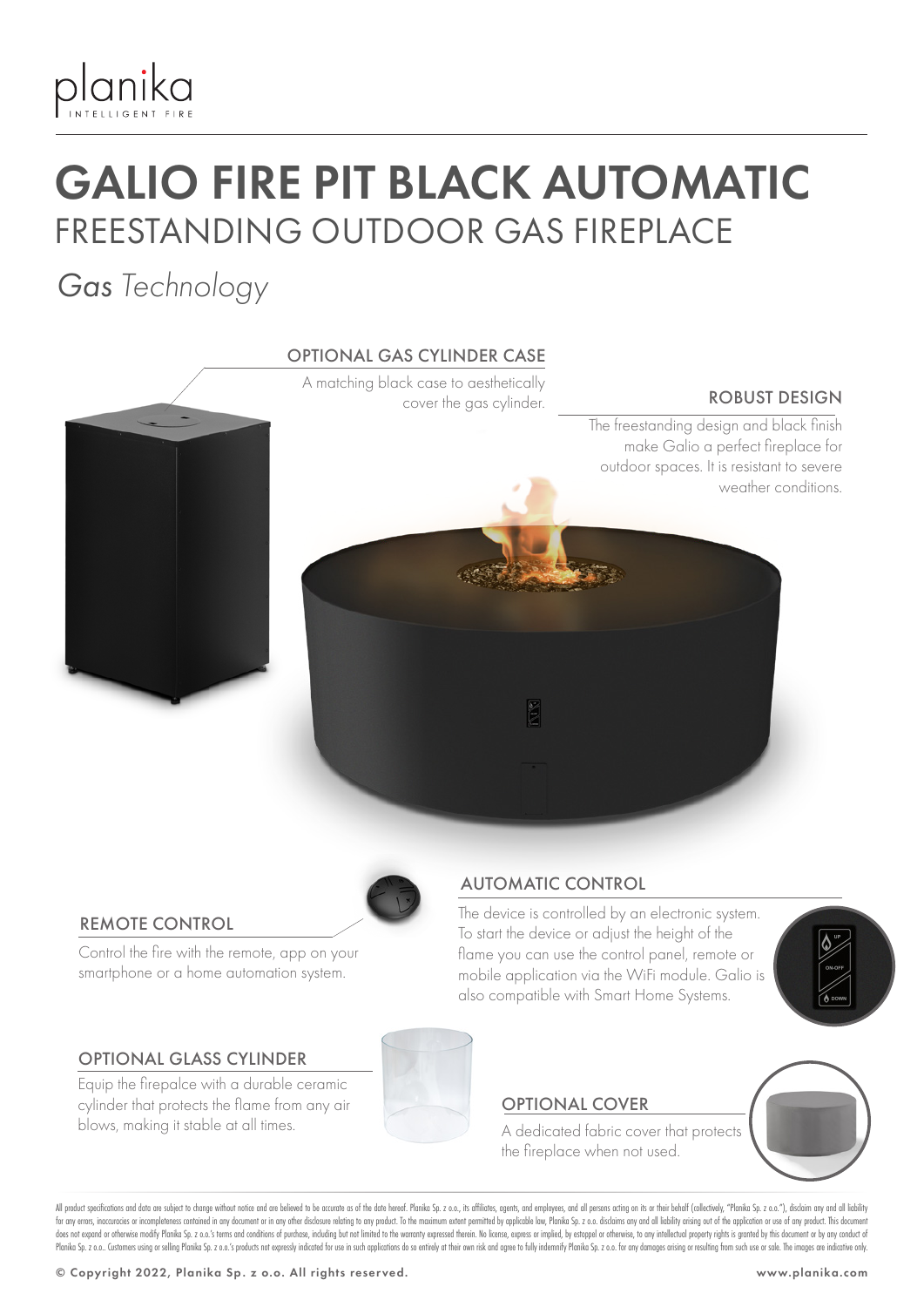

## GALIO FIRE PIT BLACK AUTOMATIC FREESTANDING OUTDOOR GAS FIREPLACE

*Gas Technology*



### REMOTE CONTROL

Control the fire with the remote, app on your smartphone or a home automation system.

### OPTIONAL GLASS CYLINDER

Equip the firepalce with a durable ceramic cylinder that protects the flame from any air blows, making it stable at all times.



### AUTOMATIC CONTROL

The device is controlled by an electronic system. To start the device or adjust the height of the flame you can use the control panel, remote or mobile application via the WiFi module. Galio is also compatible with Smart Home Systems.



### OPTIONAL COVER

A dedicated fabric cover that protects the fireplace when not used.



All product specifications and data are subject to change without notice and are believed to be accurate as of the date hereof. Planika So, z o.o., its affiliates, agents, and employees, and all only are action on its or t for any errors, inaccuracies or incompleteness contained in any document or in any other disclosure relating to any product. To the maximum extent permitted by applicable law, Planika Sp. z o.o. disclaims any and all liabi does not expand or otherwise modify Planika Sp. z o.o.'s terms and conditions of purchase, including but not limited to the warranty expressed therein. No license, express or implied, by estoppel or otherwise, to any intel Planika Sp. z o.o. Customers using or selling Planika Sp. z o.o.'s products not expressly indicated for use in such applications do so entirely at their own risk and agree to fully indemnify Planika Sp. z o.o. for any dama